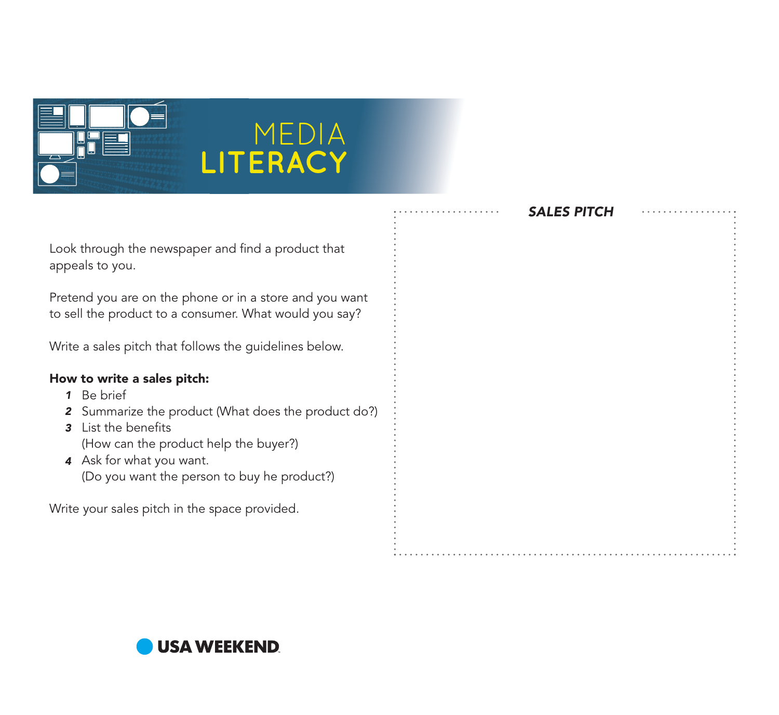

## MEDIA **LITERACY**

|                                                                                                                                                                                                                                                                          | <b>SALES PITCH</b> |  |
|--------------------------------------------------------------------------------------------------------------------------------------------------------------------------------------------------------------------------------------------------------------------------|--------------------|--|
| Look through the newspaper and find a product that<br>appeals to you.                                                                                                                                                                                                    |                    |  |
| Pretend you are on the phone or in a store and you want<br>to sell the product to a consumer. What would you say?                                                                                                                                                        |                    |  |
| Write a sales pitch that follows the guidelines below.                                                                                                                                                                                                                   |                    |  |
| How to write a sales pitch:<br>Be brief<br>1<br>Summarize the product (What does the product do?)<br>List the benefits<br>3<br>(How can the product help the buyer?)<br>Ask for what you want.<br>$\overline{\mathbf{4}}$<br>(Do you want the person to buy he product?) |                    |  |
| Write your sales pitch in the space provided.                                                                                                                                                                                                                            |                    |  |

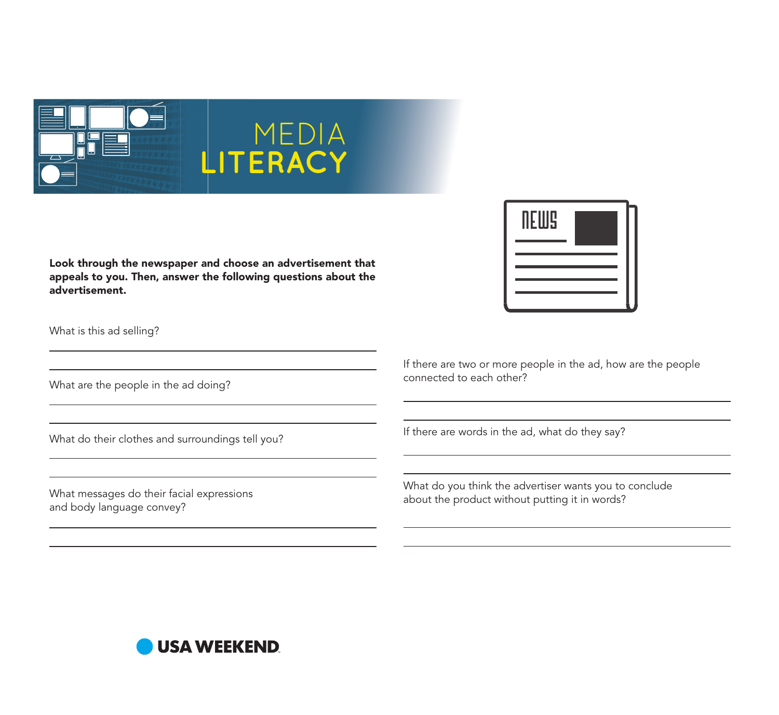

Look through the newspaper and choose an advertisement that appeals to you. Then, answer the following questions about the advertisement.

MEDIA

**LITERACY**

What is this ad selling?

What are the people in the ad doing?

What do their clothes and surroundings tell you?

What messages do their facial expressions and body language convey?



If there are two or more people in the ad, how are the people connected to each other?

If there are words in the ad, what do they say?

What do you think the advertiser wants you to conclude about the product without putting it in words?

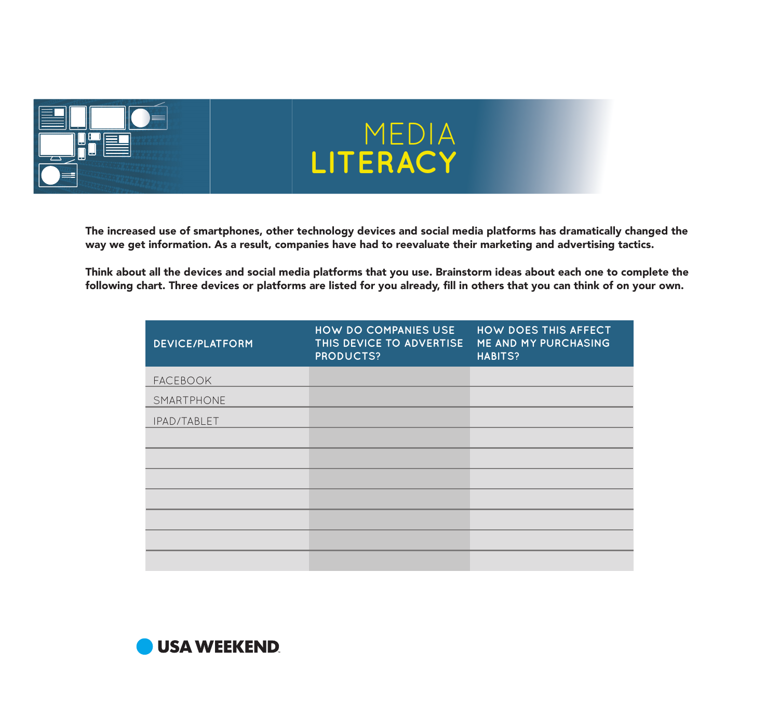

## MEDIA **LITERACY**

The increased use of smartphones, other technology devices and social media platforms has dramatically changed the way we get information. As a result, companies have had to reevaluate their marketing and advertising tactics.

Think about all the devices and social media platforms that you use. Brainstorm ideas about each one to complete the following chart. Three devices or platforms are listed for you already, fill in others that you can think of on your own.

| <b>DEVICE/PLATFORM</b> | HOW DO COMPANIES USE<br>THIS DEVICE TO ADVERTISE<br><b>PRODUCTS?</b> | HOW DOES THIS AFFECT<br>ME AND MY PURCHASING<br><b>HABITS?</b> |
|------------------------|----------------------------------------------------------------------|----------------------------------------------------------------|
| <b>FACEBOOK</b>        |                                                                      |                                                                |
| SMARTPHONE             |                                                                      |                                                                |
| IPAD/TABLET            |                                                                      |                                                                |
|                        |                                                                      |                                                                |
|                        |                                                                      |                                                                |
|                        |                                                                      |                                                                |
|                        |                                                                      |                                                                |
|                        |                                                                      |                                                                |
|                        |                                                                      |                                                                |
|                        |                                                                      |                                                                |

**USA WEEKEND**